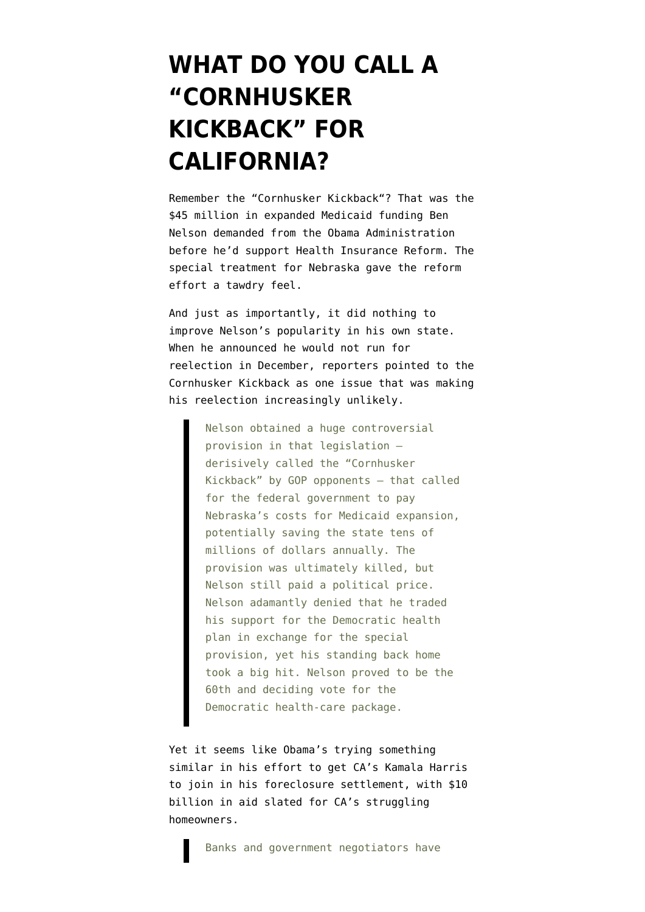## **[WHAT DO YOU CALL A](https://www.emptywheel.net/2012/01/21/what-do-you-call-a-cornhusker-kickback-for-california/) ["CORNHUSKER](https://www.emptywheel.net/2012/01/21/what-do-you-call-a-cornhusker-kickback-for-california/) [KICKBACK" FOR](https://www.emptywheel.net/2012/01/21/what-do-you-call-a-cornhusker-kickback-for-california/) [CALIFORNIA?](https://www.emptywheel.net/2012/01/21/what-do-you-call-a-cornhusker-kickback-for-california/)**

Remember the ["Cornhusker Kickback"](http://www.foxnews.com/politics/2009/12/20/nelson-accused-selling-vote-health-nebraska-pay/)? That was the \$45 million in expanded Medicaid funding Ben Nelson demanded from the Obama Administration before he'd support Health Insurance Reform. The special treatment for Nebraska gave the reform effort a tawdry feel.

And just as importantly, it did nothing to improve Nelson's popularity in his own state. When he announced he would not run for reelection in December, reporters [pointed to](http://www.politico.com/news/stories/1211/70879.html) the Cornhusker Kickback as one issue that was making his reelection increasingly unlikely.

> Nelson obtained a huge controversial provision in that legislation derisively called the "Cornhusker Kickback" by GOP opponents — that called for the federal government to pay Nebraska's costs for Medicaid expansion, potentially saving the state tens of millions of dollars annually. The provision was ultimately killed, but Nelson still paid a political price. Nelson adamantly denied that he traded his support for the Democratic health plan in exchange for the special provision, yet his standing back home took a big hit. Nelson proved to be the 60th and deciding vote for the Democratic health-care package.

Yet it seems like Obama's [trying something](http://m.ft.com/cms/s/0/bc4e477a-438f-11e1-adda-00144feab49a.html) [similar](http://m.ft.com/cms/s/0/bc4e477a-438f-11e1-adda-00144feab49a.html) in his effort to get CA's Kamala Harris to join in his foreclosure settlement, with \$10 billion in aid slated for CA's struggling homeowners.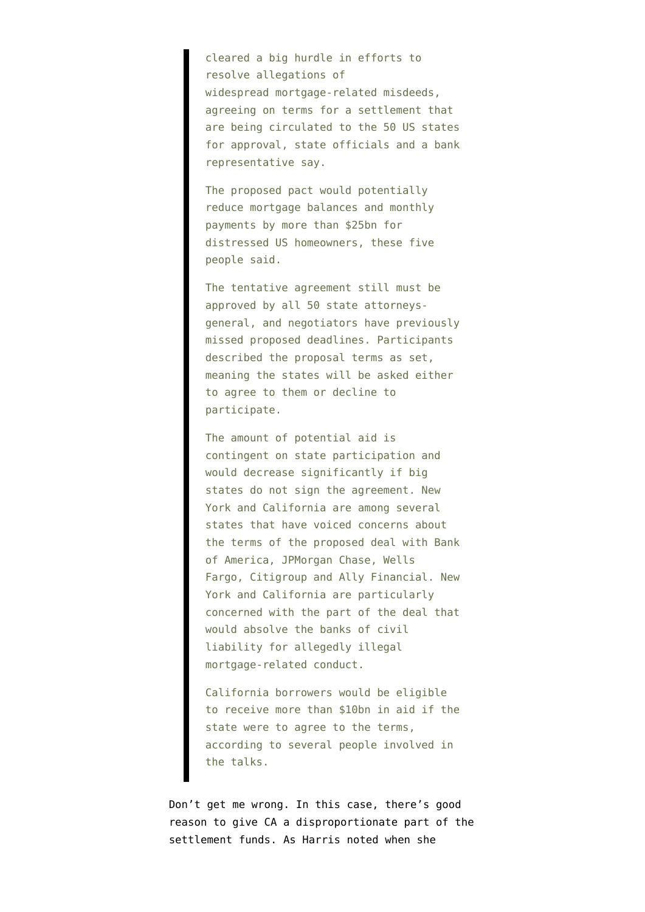cleared a big hurdle in efforts to resolve allegations of widespread mortgage-related misdeeds, agreeing on terms for a settlement that are being circulated to the 50 US states for approval, state officials and a bank representative say.

The proposed pact would potentially reduce mortgage balances and monthly payments by more than \$25bn for distressed US homeowners, these five people said.

The tentative agreement still must be approved by all 50 state attorneysgeneral, and negotiators have previously missed proposed deadlines. Participants described the proposal terms as set, meaning the states will be asked either to agree to them or decline to participate.

The amount of potential aid is contingent on state participation and would decrease significantly if big states do not sign the agreement. New York and California are among several states that have voiced concerns about the terms of the proposed deal with Bank of America, JPMorgan Chase, Wells Fargo, Citigroup and Ally Financial. New York and California are particularly concerned with the part of the deal that would absolve the banks of civil liability for allegedly illegal mortgage-related conduct.

California borrowers would be eligible to receive more than \$10bn in aid if the state were to agree to the terms, according to several people involved in the talks.

Don't get me wrong. In this case, [there's good](http://www.emptywheel.net/2011/08/25/how-would-states-divvy-up-the-foreclosure-settlement/) [reason to give CA a disproportionate part](http://www.emptywheel.net/2011/08/25/how-would-states-divvy-up-the-foreclosure-settlement/) of the settlement funds. As Harris [noted](http://www.emptywheel.net/wp-content/uploads/2011/10/110930-Kamala-Harris-Letter.pdf) when she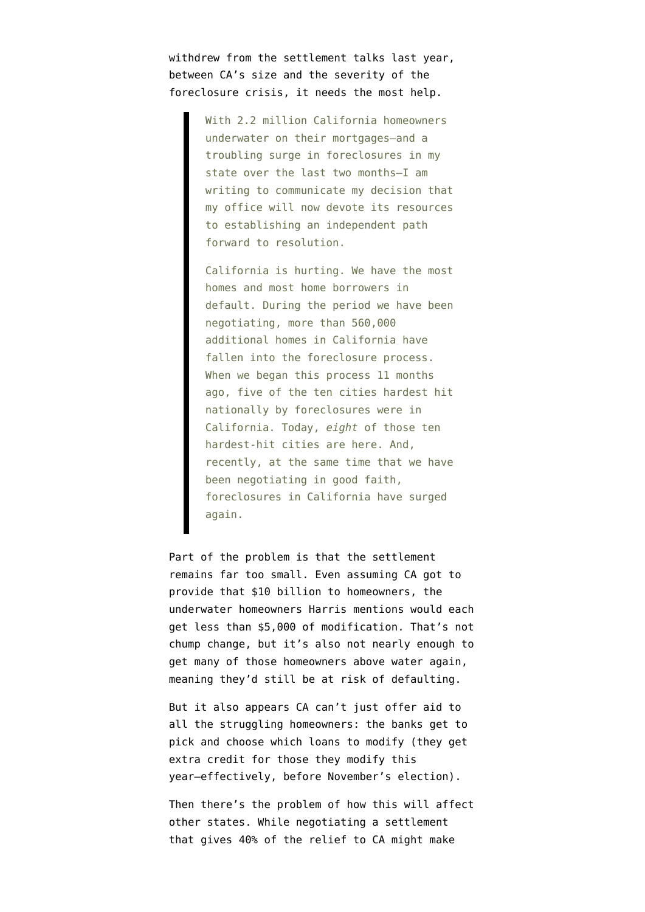withdrew from the settlement talks last year, between CA's size and the severity of the foreclosure crisis, it needs the most help.

> With 2.2 million California homeowners underwater on their mortgages–and a troubling surge in foreclosures in my state over the last two months–I am writing to communicate my decision that my office will now devote its resources to establishing an independent path forward to resolution.

California is hurting. We have the most homes and most home borrowers in default. During the period we have been negotiating, more than 560,000 additional homes in California have fallen into the foreclosure process. When we began this process 11 months ago, five of the ten cities hardest hit nationally by foreclosures were in California. Today, *eight* of those ten hardest-hit cities are here. And, recently, at the same time that we have been negotiating in good faith, foreclosures in California have surged again.

Part of the problem is that the settlement remains far too small. Even assuming CA got to provide that \$10 billion to homeowners, the underwater homeowners Harris mentions would each get less than \$5,000 of modification. That's not chump change, but it's also not nearly enough to get many of those homeowners above water again, meaning they'd still be at risk of defaulting.

But it also appears CA can't just offer aid to all the struggling homeowners: the banks get to pick and choose which loans to modify (they get extra credit for those they modify this year–effectively, before November's election).

Then there's the problem of how this will affect other states. While negotiating a settlement that gives 40% of the relief to CA might make